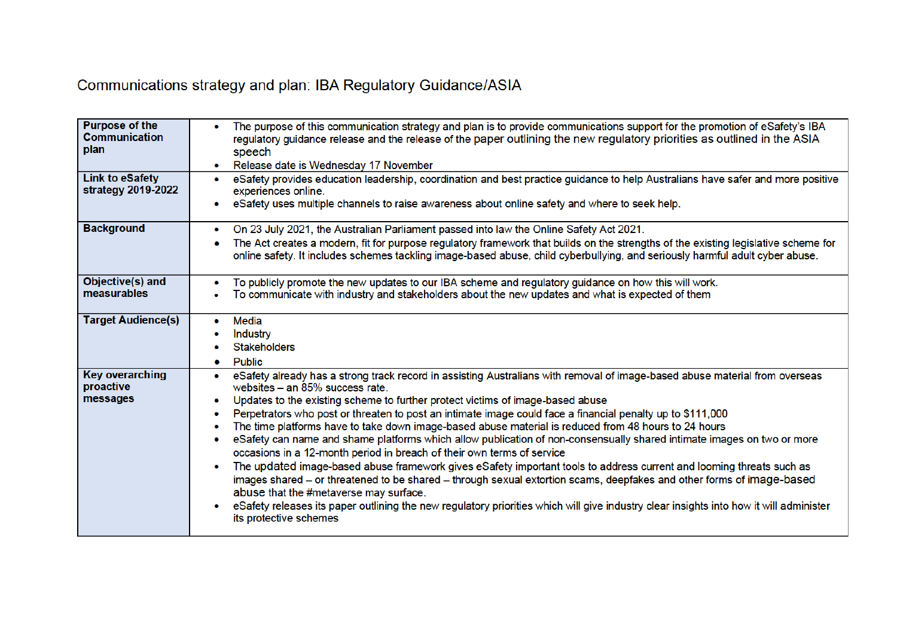## Communications strategy and plan: IBA Regulatory Guidance/ASIA

| <b>Purpose of the</b><br><b>Communication</b><br>plan<br><b>Link to eSafety</b><br>strategy 2019-2022 | The purpose of this communication strategy and plan is to provide communications support for the promotion of eSafety's IBA<br>$\bullet$<br>regulatory guidance release and the release of the paper outlining the new regulatory priorities as outlined in the ASIA<br>speech<br>Release date is Wednesday 17 November<br>$\bullet$<br>eSafety provides education leadership, coordination and best practice guidance to help Australians have safer and more positive<br>۰<br>experiences online.<br>eSafety uses multiple channels to raise awareness about online safety and where to seek help.<br>۰                                                                                                                                                                                                                                                                                                                                                                                                                                                                                                                                                                                    |
|-------------------------------------------------------------------------------------------------------|----------------------------------------------------------------------------------------------------------------------------------------------------------------------------------------------------------------------------------------------------------------------------------------------------------------------------------------------------------------------------------------------------------------------------------------------------------------------------------------------------------------------------------------------------------------------------------------------------------------------------------------------------------------------------------------------------------------------------------------------------------------------------------------------------------------------------------------------------------------------------------------------------------------------------------------------------------------------------------------------------------------------------------------------------------------------------------------------------------------------------------------------------------------------------------------------|
| <b>Background</b>                                                                                     | On 23 July 2021, the Australian Parliament passed into law the Online Safety Act 2021.<br>۰<br>The Act creates a modern, fit for purpose regulatory framework that builds on the strengths of the existing legislative scheme for<br>۰<br>online safety. It includes schemes tackling image-based abuse, child cyberbullying, and seriously harmful adult cyber abuse.                                                                                                                                                                                                                                                                                                                                                                                                                                                                                                                                                                                                                                                                                                                                                                                                                       |
| Objective(s) and<br>measurables                                                                       | To publicly promote the new updates to our IBA scheme and regulatory guidance on how this will work.<br>۰<br>To communicate with industry and stakeholders about the new updates and what is expected of them                                                                                                                                                                                                                                                                                                                                                                                                                                                                                                                                                                                                                                                                                                                                                                                                                                                                                                                                                                                |
| <b>Target Audience(s)</b>                                                                             | Media<br>۰<br>Industry<br><b>Stakeholders</b><br><b>Public</b><br>۰                                                                                                                                                                                                                                                                                                                                                                                                                                                                                                                                                                                                                                                                                                                                                                                                                                                                                                                                                                                                                                                                                                                          |
| <b>Key overarching</b><br>proactive<br>messages                                                       | eSafety already has a strong track record in assisting Australians with removal of image-based abuse material from overseas<br>$\bullet$<br>websites - an 85% success rate.<br>Updates to the existing scheme to further protect victims of image-based abuse<br>۰<br>Perpetrators who post or threaten to post an intimate image could face a financial penalty up to \$111,000<br>۰<br>The time platforms have to take down image-based abuse material is reduced from 48 hours to 24 hours<br>٠<br>eSafety can name and shame platforms which allow publication of non-consensually shared intimate images on two or more<br>۰<br>occasions in a 12-month period in breach of their own terms of service<br>The updated image-based abuse framework gives eSafety important tools to address current and looming threats such as<br>۰<br>images shared – or threatened to be shared – through sexual extortion scams, deepfakes and other forms of image-based<br>abuse that the #metaverse may surface.<br>eSafety releases its paper outlining the new regulatory priorities which will give industry clear insights into how it will administer<br>$\bullet$<br>its protective schemes |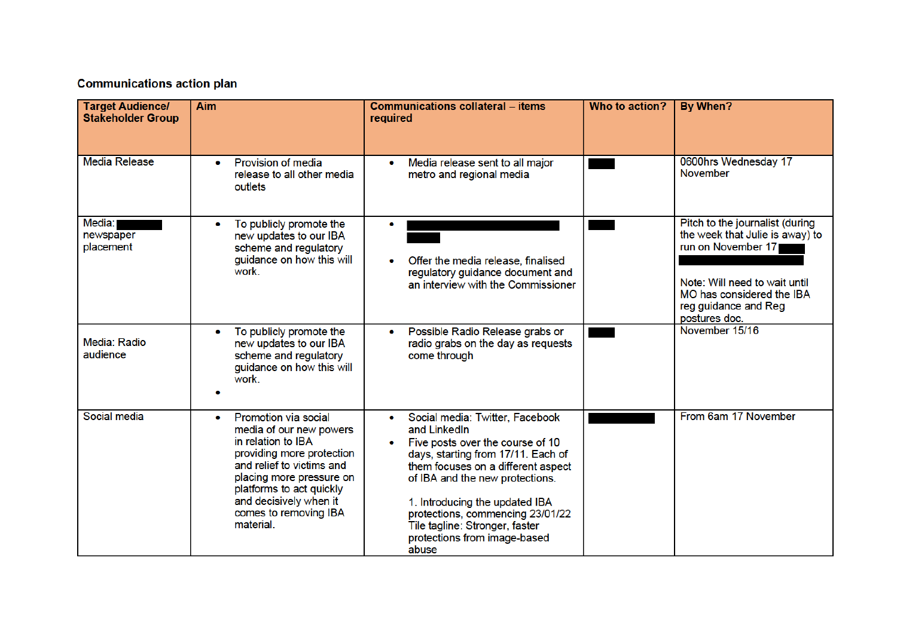## **Communications action plan**

| <b>Target Audience/</b><br><b>Stakeholder Group</b> | Aim                                                                                                                                                                                                                                                                  | <b>Communications collateral - items</b><br>required                                                                                                                                                                                                                                                                                                | Who to action? | By When?                                                                                                                                                                                        |
|-----------------------------------------------------|----------------------------------------------------------------------------------------------------------------------------------------------------------------------------------------------------------------------------------------------------------------------|-----------------------------------------------------------------------------------------------------------------------------------------------------------------------------------------------------------------------------------------------------------------------------------------------------------------------------------------------------|----------------|-------------------------------------------------------------------------------------------------------------------------------------------------------------------------------------------------|
| <b>Media Release</b>                                | Provision of media<br>۰<br>release to all other media<br>outlets                                                                                                                                                                                                     | Media release sent to all major<br>$\bullet$<br>metro and regional media                                                                                                                                                                                                                                                                            |                | 0600hrs Wednesday 17<br><b>November</b>                                                                                                                                                         |
| Media:<br>newspaper<br>placement                    | To publicly promote the<br>۰<br>new updates to our IBA<br>scheme and regulatory<br>guidance on how this will<br>work.                                                                                                                                                | Offer the media release, finalised<br>regulatory guidance document and<br>an interview with the Commissioner                                                                                                                                                                                                                                        |                | Pitch to the journalist (during<br>the week that Julie is away) to<br>run on November 17<br>Note: Will need to wait until<br>MO has considered the IBA<br>reg guidance and Reg<br>postures doc. |
| Media: Radio<br>audience                            | To publicly promote the<br>new updates to our IBA<br>scheme and regulatory<br>guidance on how this will<br>work.                                                                                                                                                     | Possible Radio Release grabs or<br>radio grabs on the day as requests<br>come through                                                                                                                                                                                                                                                               |                | November 15/16                                                                                                                                                                                  |
| Social media                                        | Promotion via social<br>$\bullet$<br>media of our new powers<br>in relation to IBA<br>providing more protection<br>and relief to victims and<br>placing more pressure on<br>platforms to act quickly<br>and decisively when it<br>comes to removing IBA<br>material. | Social media: Twitter, Facebook<br>and LinkedIn<br>Five posts over the course of 10<br>days, starting from 17/11. Each of<br>them focuses on a different aspect<br>of IBA and the new protections.<br>1. Introducing the updated IBA<br>protections, commencing 23/01/22<br>Tile tagline: Stronger, faster<br>protections from image-based<br>abuse |                | From 6am 17 November                                                                                                                                                                            |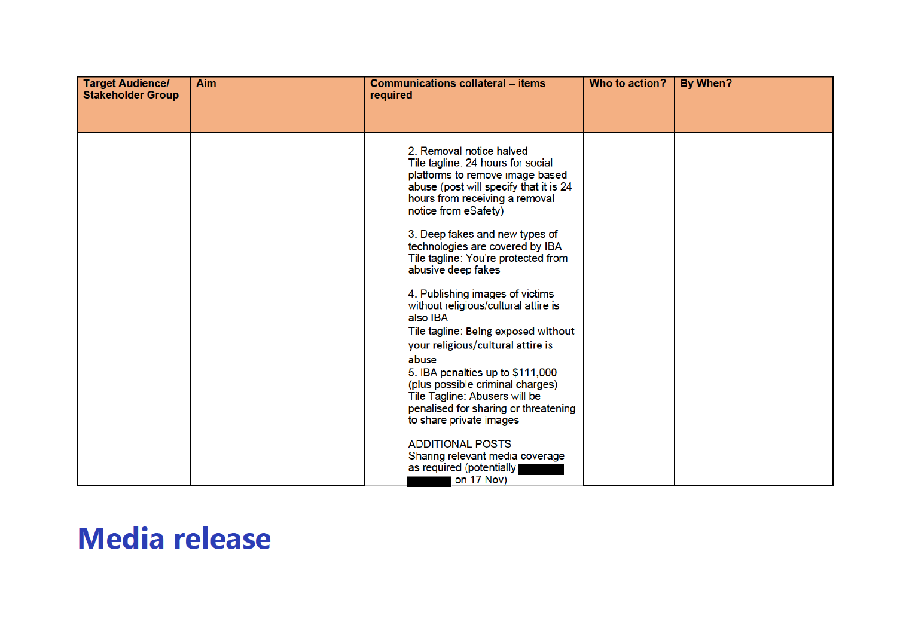| <b>Target Audience/</b><br><b>Stakeholder Group</b> | Aim | <b>Communications collateral - items</b><br>required                                                                                                                                                                                                                                                                                                                                                                                                                                                                                                                                                                                                                                                                                                         | Who to action? | By When? |
|-----------------------------------------------------|-----|--------------------------------------------------------------------------------------------------------------------------------------------------------------------------------------------------------------------------------------------------------------------------------------------------------------------------------------------------------------------------------------------------------------------------------------------------------------------------------------------------------------------------------------------------------------------------------------------------------------------------------------------------------------------------------------------------------------------------------------------------------------|----------------|----------|
|                                                     |     |                                                                                                                                                                                                                                                                                                                                                                                                                                                                                                                                                                                                                                                                                                                                                              |                |          |
|                                                     |     | 2. Removal notice halved<br>Tile tagline: 24 hours for social<br>platforms to remove image-based<br>abuse (post will specify that it is 24<br>hours from receiving a removal<br>notice from eSafety)<br>3. Deep fakes and new types of<br>technologies are covered by IBA<br>Tile tagline: You're protected from<br>abusive deep fakes<br>4. Publishing images of victims<br>without religious/cultural attire is<br>also IBA<br>Tile tagline: Being exposed without<br>your religious/cultural attire is<br>abuse<br>5. IBA penalties up to \$111,000<br>(plus possible criminal charges)<br>Tile Tagline: Abusers will be<br>penalised for sharing or threatening<br>to share private images<br><b>ADDITIONAL POSTS</b><br>Sharing relevant media coverage |                |          |
|                                                     |     | as required (potentially<br>on 17 Nov)                                                                                                                                                                                                                                                                                                                                                                                                                                                                                                                                                                                                                                                                                                                       |                |          |

## **Media release**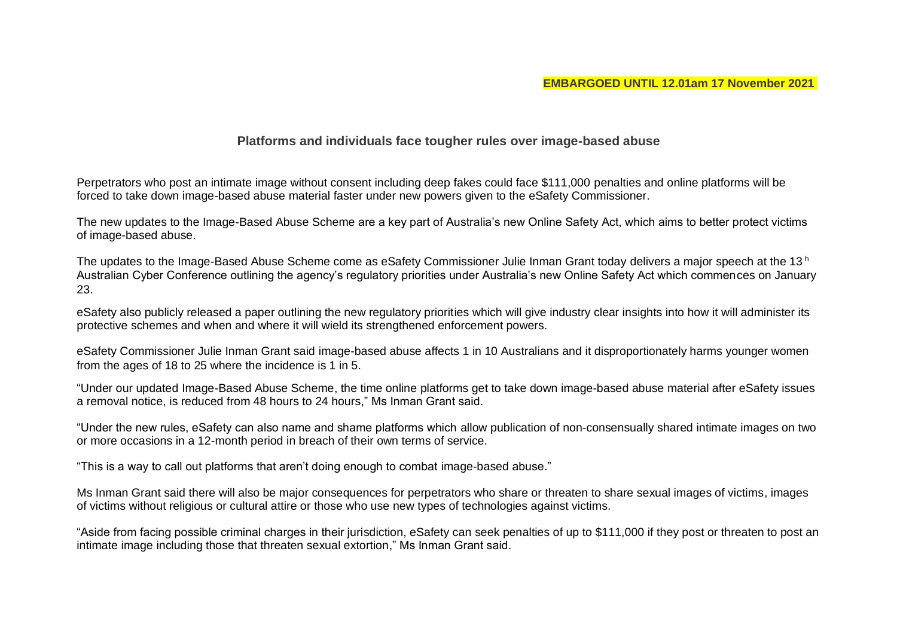## **Platforms and individuals face tougher rules over image-based abuse**

Perpetrators who post an intimate image without consent including deep fakes could face \$111,000 penalties and online platforms will be forced to take down image-based abuse material faster under new powers given to the eSafety Commissioner.

The new updates to the Image-Based Abuse Scheme are a key part of Australia's new Online Safety Act, which aims to better protect victims of image-based abuse.

The updates to the Image-Based Abuse Scheme come as eSafety Commissioner Julie Inman Grant today delivers a major speech at the 13<sup>h</sup> Australian Cyber Conference outlining the agency's regulatory priorities under Australia's new Online Safety Act which commences on January 23.

eSafety also publicly released a paper outlining the new regulatory priorities which will give industry clear insights into how it will administer its protective schemes and when and where it will wield its strengthened enforcement powers.

eSafety Commissioner Julie Inman Grant said image-based abuse affects 1 in 10 Australians and it disproportionately harms younger women from the ages of 18 to 25 where the incidence is 1 in 5.

"Under our updated Image-Based Abuse Scheme, the time online platforms get to take down image-based abuse material after eSafety issues a removal notice, is reduced from 48 hours to 24 hours," Ms Inman Grant said.

"Under the new rules, eSafety can also name and shame platforms which allow publication of non-consensually shared intimate images on two or more occasions in a 12-month period in breach of their own terms of service.

"This is a way to call out platforms that aren't doing enough to combat image-based abuse."

Ms Inman Grant said there will also be major consequences for perpetrators who share or threaten to share sexual images of victims, images of victims without religious or cultural attire or those who use new types of technologies against victims.

"Aside from facing possible criminal charges in their jurisdiction, eSafety can seek penalties of up to \$111,000 if they post or threaten to post an intimate image including those that threaten sexual extortion," Ms Inman Grant said.